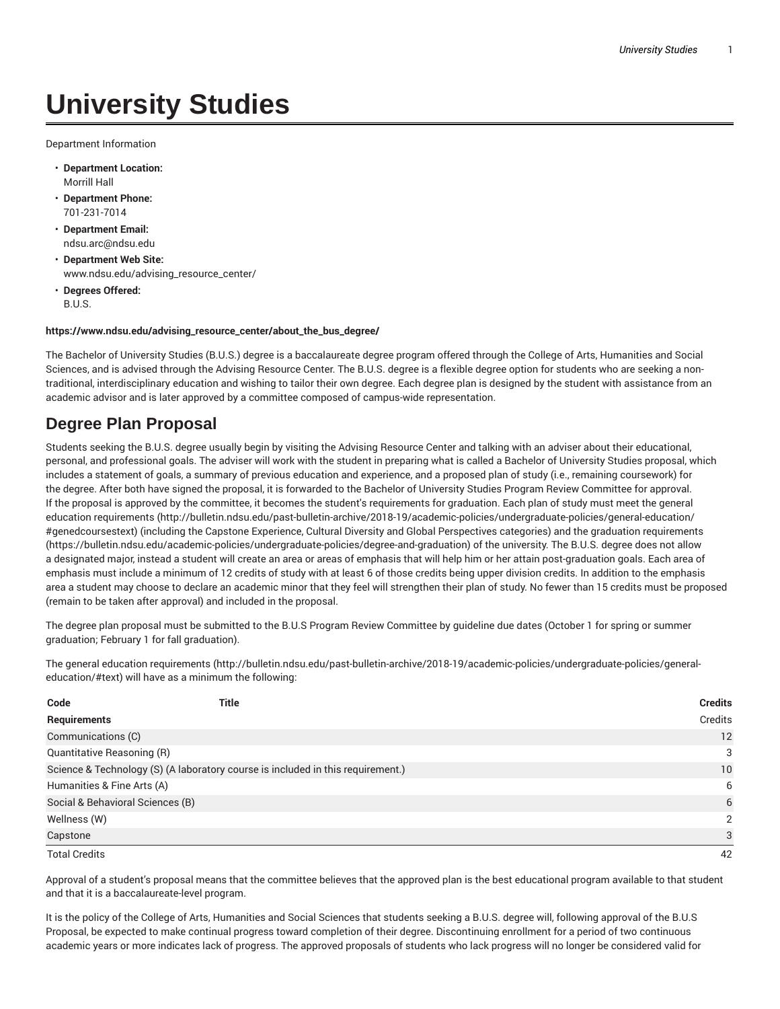## **University Studies**

Department Information

- **Department Location:** Morrill Hall
- **Department Phone:** 701-231-7014
- **Department Email:** ndsu.arc@ndsu.edu
- **Department Web Site:** www.ndsu.edu/advising\_resource\_center/
- **Degrees Offered:** B.U.S.

## **https://www.ndsu.edu/advising\_resource\_center/about\_the\_bus\_degree/**

The Bachelor of University Studies (B.U.S.) degree is a baccalaureate degree program offered through the College of Arts, Humanities and Social Sciences, and is advised through the Advising Resource Center. The B.U.S. degree is a flexible degree option for students who are seeking a nontraditional, interdisciplinary education and wishing to tailor their own degree. Each degree plan is designed by the student with assistance from an academic advisor and is later approved by a committee composed of campus-wide representation.

## **Degree Plan Proposal**

Students seeking the B.U.S. degree usually begin by visiting the Advising Resource Center and talking with an adviser about their educational, personal, and professional goals. The adviser will work with the student in preparing what is called a Bachelor of University Studies proposal, which includes a statement of goals, a summary of previous education and experience, and a proposed plan of study (i.e., remaining coursework) for the degree. After both have signed the proposal, it is forwarded to the Bachelor of University Studies Program Review Committee for approval. If the proposal is approved by the committee, it becomes the student's requirements for graduation. Each plan of study must meet the general education requirements (http://bulletin.ndsu.edu/past-bulletin-archive/2018-19/academic-policies/undergraduate-policies/general-education/ #genedcoursestext) (including the Capstone Experience, Cultural Diversity and Global Perspectives categories) and the graduation requirements (https://bulletin.ndsu.edu/academic-policies/undergraduate-policies/degree-and-graduation) of the university. The B.U.S. degree does not allow a designated major, instead a student will create an area or areas of emphasis that will help him or her attain post-graduation goals. Each area of emphasis must include a minimum of 12 credits of study with at least 6 of those credits being upper division credits. In addition to the emphasis area a student may choose to declare an academic minor that they feel will strengthen their plan of study. No fewer than 15 credits must be proposed (remain to be taken after approval) and included in the proposal.

The degree plan proposal must be submitted to the B.U.S Program Review Committee by guideline due dates (October 1 for spring or summer graduation; February 1 for fall graduation).

The general education requirements (http://bulletin.ndsu.edu/past-bulletin-archive/2018-19/academic-policies/undergraduate-policies/generaleducation/#text) will have as a minimum the following:

| Code                                                                            | Title | <b>Credits</b> |
|---------------------------------------------------------------------------------|-------|----------------|
| Requirements                                                                    |       | Credits        |
| Communications (C)                                                              |       | 12             |
| Quantitative Reasoning (R)                                                      |       | 3              |
| Science & Technology (S) (A laboratory course is included in this requirement.) |       | 10             |
| Humanities & Fine Arts (A)                                                      |       | 6              |
| Social & Behavioral Sciences (B)                                                |       | 6              |
| Wellness (W)                                                                    |       | 2              |
| Capstone                                                                        |       | 3              |
| <b>Total Credits</b>                                                            |       | 42             |

Approval of a student's proposal means that the committee believes that the approved plan is the best educational program available to that student and that it is a baccalaureate-level program.

It is the policy of the College of Arts, Humanities and Social Sciences that students seeking a B.U.S. degree will, following approval of the B.U.S Proposal, be expected to make continual progress toward completion of their degree. Discontinuing enrollment for a period of two continuous academic years or more indicates lack of progress. The approved proposals of students who lack progress will no longer be considered valid for